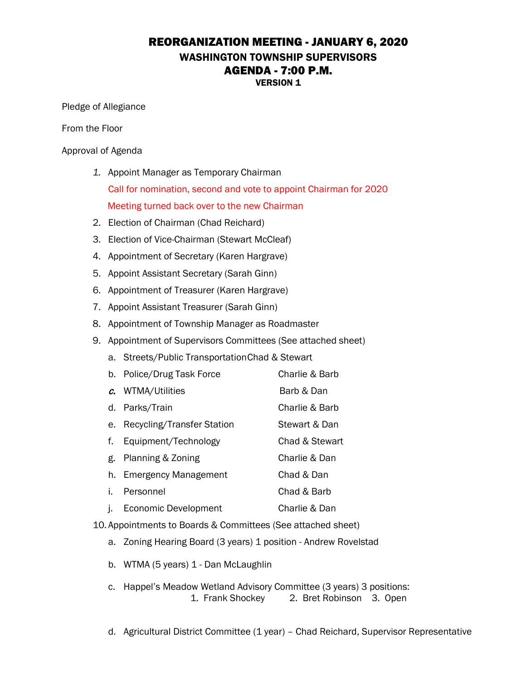## REORGANIZATION MEETING - JANUARY 6, 2020 WASHINGTON TOWNSHIP SUPERVISORS AGENDA - 7:00 P.M. VERSION 1

Pledge of Allegiance

From the Floor

Approval of Agenda

- *1.* Appoint Manager as Temporary Chairman Call for nomination, second and vote to appoint Chairman for 2020 Meeting turned back over to the new Chairman
- 2. Election of Chairman (Chad Reichard)
- 3. Election of Vice-Chairman (Stewart McCleaf)
- 4. Appointment of Secretary (Karen Hargrave)
- 5. Appoint Assistant Secretary (Sarah Ginn)
- 6. Appointment of Treasurer (Karen Hargrave)
- 7. Appoint Assistant Treasurer (Sarah Ginn)
- 8. Appointment of Township Manager as Roadmaster
- 9. Appointment of Supervisors Committees (See attached sheet)
	- a. Streets/Public TransportationChad & Stewart
	- b. Police/Drug Task Force Charlie & Barb
	- c. WTMA/Utilities Barb & Dan
	- d. Parks/Train Charlie & Barb
	- e. Recycling/Transfer Station Stewart & Dan
	- f. Equipment/Technology Chad & Stewart
	- g. Planning & Zoning Charlie & Dan
	- h. Emergency Management Chad & Dan
	- i. Personnel Chad & Barb
	- j. Economic Development Charlie & Dan
- 10. Appointments to Boards & Committees (See attached sheet)
	- a. Zoning Hearing Board (3 years) 1 position Andrew Rovelstad
	- b. WTMA (5 years) 1 Dan McLaughlin
	- c. Happel's Meadow Wetland Advisory Committee (3 years) 3 positions: 1. Frank Shockey 2. Bret Robinson 3. Open
	- d. Agricultural District Committee (1 year) Chad Reichard, Supervisor Representative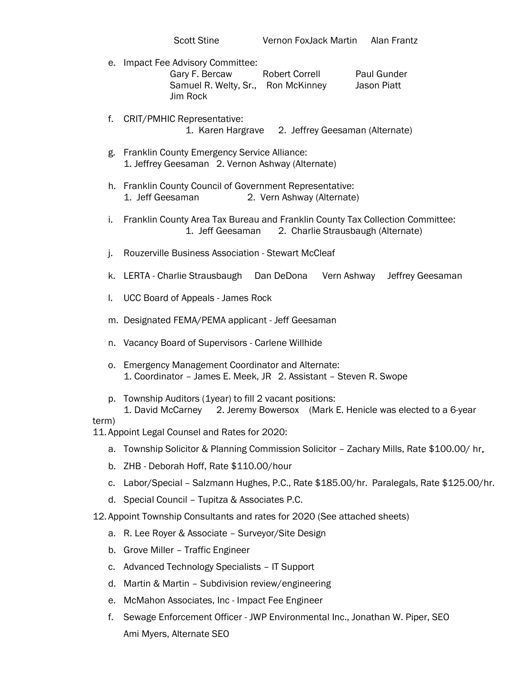- e. Impact Fee Advisory Committee: Gary F. Bercaw Robert Correll Paul Gunder Samuel R. Welty, Sr., Ron McKinney Jason Piatt Jim Rock
- f. CRIT/PMHIC Representative: 1. Karen Hargrave 2. Jeffrey Geesaman (Alternate)
- g. Franklin County Emergency Service Alliance: 1. Jeffrey Geesaman 2. Vernon Ashway (Alternate)
- h. Franklin County Council of Government Representative: 1. Jeff Geesaman 2. Vern Ashway (Alternate)
- i. Franklin County Area Tax Bureau and Franklin County Tax Collection Committee: 1. Jeff Geesaman 2. Charlie Strausbaugh (Alternate)
- j. Rouzerville Business Association Stewart McCleaf
- k. LERTA Charlie Strausbaugh Dan DeDona Vern Ashway Jeffrey Geesaman
- l. UCC Board of Appeals James Rock
- m. Designated FEMA/PEMA applicant Jeff Geesaman
- n. Vacancy Board of Supervisors Carlene Willhide
- o. Emergency Management Coordinator and Alternate: 1. Coordinator – James E. Meek, JR 2. Assistant – Steven R. Swope
- p. Township Auditors (1year) to fill 2 vacant positions:
- 1. David McCarney 2. Jeremy Bowersox (Mark E. Henicle was elected to a 6-year term)

11. Appoint Legal Counsel and Rates for 2020:

- a. Township Solicitor & Planning Commission Solicitor Zachary Mills, Rate \$100.00/ hr.
- b. ZHB Deborah Hoff, Rate \$110.00/hour
- c. Labor/Special Salzmann Hughes, P.C., Rate \$185.00/hr. Paralegals, Rate \$125.00/hr.
- d. Special Council Tupitza & Associates P.C.
- 12. Appoint Township Consultants and rates for 2020 (See attached sheets)
	- a. R. Lee Royer & Associate Surveyor/Site Design
	- b. Grove Miller Traffic Engineer
	- c. Advanced Technology Specialists IT Support
	- d. Martin & Martin Subdivision review/engineering
	- e. McMahon Associates, Inc Impact Fee Engineer
	- f. Sewage Enforcement Officer JWP Environmental Inc., Jonathan W. Piper, SEO Ami Myers, Alternate SEO